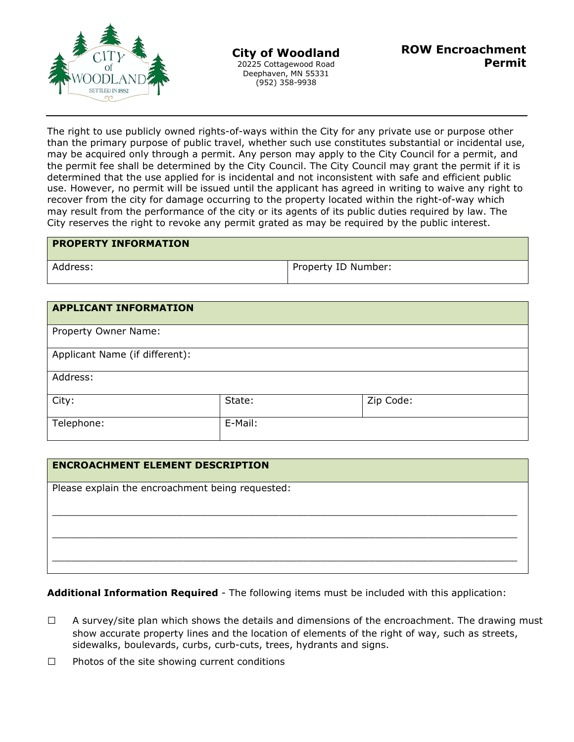

The right to use publicly owned rights-of-ways within the City for any private use or purpose other than the primary purpose of public travel, whether such use constitutes substantial or incidental use, may be acquired only through a permit. Any person may apply to the City Council for a permit, and the permit fee shall be determined by the City Council. The City Council may grant the permit if it is determined that the use applied for is incidental and not inconsistent with safe and efficient public use. However, no permit will be issued until the applicant has agreed in writing to waive any right to recover from the city for damage occurring to the property located within the right-of-way which may result from the performance of the city or its agents of its public duties required by law. The City reserves the right to revoke any permit grated as may be required by the public interest.

| <b>PROPERTY INFORMATION</b> |                     |
|-----------------------------|---------------------|
| Address:                    | Property ID Number: |

| <b>APPLICANT INFORMATION</b>   |         |           |
|--------------------------------|---------|-----------|
| Property Owner Name:           |         |           |
| Applicant Name (if different): |         |           |
| Address:                       |         |           |
| City:                          | State:  | Zip Code: |
| Telephone:                     | E-Mail: |           |

## **ENCROACHMENT ELEMENT DESCRIPTION**

Please explain the encroachment being requested:

**Additional Information Required** - The following items must be included with this application:

 $\_$  , and the set of the set of the set of the set of the set of the set of the set of the set of the set of the set of the set of the set of the set of the set of the set of the set of the set of the set of the set of th

 $\_$  , and the set of the set of the set of the set of the set of the set of the set of the set of the set of the set of the set of the set of the set of the set of the set of the set of the set of the set of the set of th

 $\_$  , and the set of the set of the set of the set of the set of the set of the set of the set of the set of the set of the set of the set of the set of the set of the set of the set of the set of the set of the set of th

- $\Box$  A survey/site plan which shows the details and dimensions of the encroachment. The drawing must show accurate property lines and the location of elements of the right of way, such as streets, sidewalks, boulevards, curbs, curb-cuts, trees, hydrants and signs.
- $\square$  Photos of the site showing current conditions